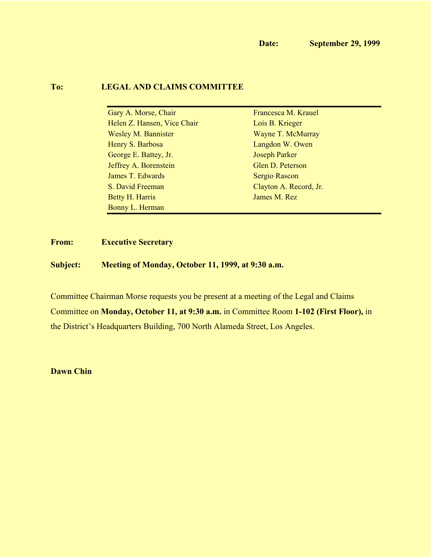#### **To: LEGAL AND CLAIMS COMMITTEE**

| Gary A. Morse, Chair        | Francesca M. Krauel    |
|-----------------------------|------------------------|
| Helen Z. Hansen, Vice Chair | Lois B. Krieger        |
| <b>Wesley M. Bannister</b>  | Wayne T. McMurray      |
| Henry S. Barbosa            | Langdon W. Owen        |
| George E. Battey, Jr.       | <b>Joseph Parker</b>   |
| Jeffrey A. Borenstein       | Glen D. Peterson       |
| James T. Edwards            | Sergio Rascon          |
| S. David Freeman            | Clayton A. Record, Jr. |
| <b>Betty H. Harris</b>      | James M. Rez           |
| Bonny L. Herman             |                        |

# **From: Executive Secretary**

**Subject: Meeting of Monday, October 11, 1999, at 9:30 a.m.**

Committee Chairman Morse requests you be present at a meeting of the Legal and Claims Committee on **Monday, October 11, at 9:30 a.m.** in Committee Room **1-102 (First Floor),** in the District's Headquarters Building, 700 North Alameda Street, Los Angeles.

**Dawn Chin**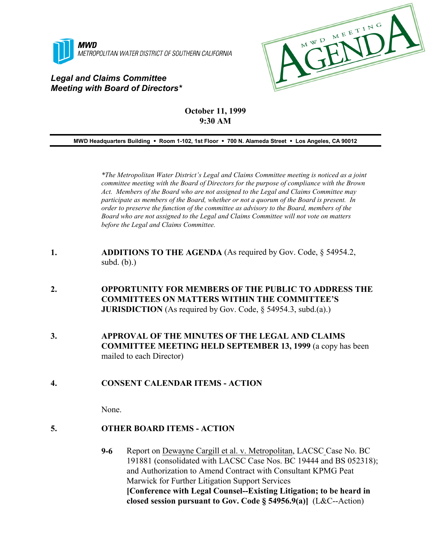

# *Legal and Claims Committee Meeting with Board of Directors\**



# **October 11, 1999 9:30 AM**

**MWD Headquarters Building** ! **Room 1-102, 1st Floor** ! **700 N. Alameda Street** ! **Los Angeles, CA 90012**

*\*The Metropolitan Water District's Legal and Claims Committee meeting is noticed as a joint committee meeting with the Board of Directors for the purpose of compliance with the Brown Act. Members of the Board who are not assigned to the Legal and Claims Committee may participate as members of the Board, whether or not a quorum of the Board is present. In order to preserve the function of the committee as advisory to the Board, members of the Board who are not assigned to the Legal and Claims Committee will not vote on matters before the Legal and Claims Committee.*

- **1. ADDITIONS TO THE AGENDA** (As required by Gov. Code, § 54954.2, subd. (b).)
- **2. OPPORTUNITY FOR MEMBERS OF THE PUBLIC TO ADDRESS THE COMMITTEES ON MATTERS WITHIN THE COMMITTEE'S JURISDICTION** (As required by Gov. Code, § 54954.3, subd.(a).)
- **3. APPROVAL OF THE MINUTES OF THE LEGAL AND CLAIMS COMMITTEE MEETING HELD SEPTEMBER 13, 1999** (a copy has been mailed to each Director)
- **4. CONSENT CALENDAR ITEMS ACTION**

None.

#### **5. OTHER BOARD ITEMS - ACTION**

**9-6** Report on Dewayne Cargill et al. v. Metropolitan, LACSC Case No. BC 191881 (consolidated with LACSC Case Nos. BC 19444 and BS 052318); and Authorization to Amend Contract with Consultant KPMG Peat Marwick for Further Litigation Support Services **[Conference with Legal Counsel--Existing Litigation; to be heard in closed session pursuant to Gov. Code § 54956.9(a)]** (L&C--Action)